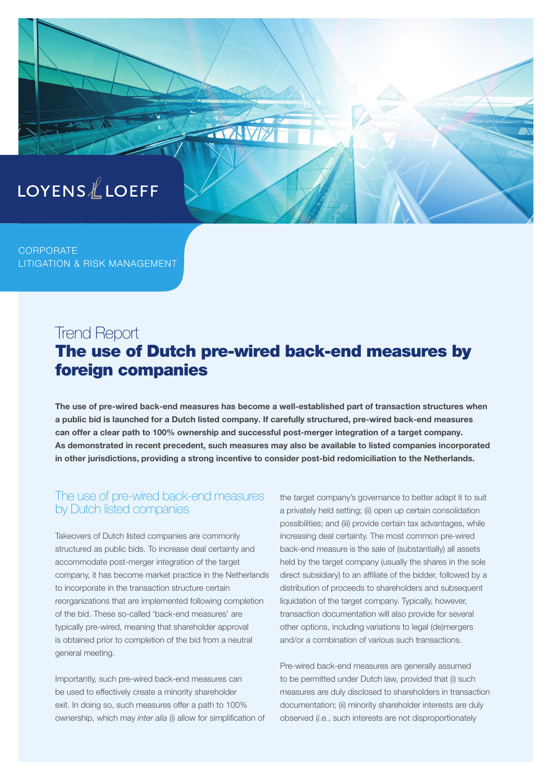

CORPORATE LITIGATION & RISK MANAGEMENT

# Trend Report The use of Dutch pre-wired back-end measures by foreign companies

The use of pre-wired back-end measures has become a well-established part of transaction structures when a public bid is launched for a Dutch listed company. If carefully structured, pre-wired back-end measures can offer a clear path to 100% ownership and successful post-merger integration of a target company. As demonstrated in recent precedent, such measures may also be available to listed companies incorporated in other jurisdictions, providing a strong incentive to consider post-bid redomiciliation to the Netherlands.

#### The use of pre-wired back-end measures by Dutch listed companies

Takeovers of Dutch listed companies are commonly structured as public bids. To increase deal certainty and accommodate post-merger integration of the target company, it has become market practice in the Netherlands to incorporate in the transaction structure certain reorganizations that are implemented following completion of the bid. These so-called 'back-end measures' are typically pre-wired, meaning that shareholder approval is obtained prior to completion of the bid from a neutral general meeting.

Importantly, such pre-wired back-end measures can be used to effectively create a minority shareholder exit. In doing so, such measures offer a path to 100% ownership, which may *inter alia* (i) allow for simplification of the target company's governance to better adapt it to suit a privately held setting; (ii) open up certain consolidation possibilities; and (iii) provide certain tax advantages, while increasing deal certainty. The most common pre-wired back-end measure is the sale of (substantially) all assets held by the target company (usually the shares in the sole direct subsidiary) to an affiliate of the bidder, followed by a distribution of proceeds to shareholders and subsequent liquidation of the target company. Typically, however, transaction documentation will also provide for several other options, including variations to legal (de)mergers and/or a combination of various such transactions.

Pre-wired back-end measures are generally assumed to be permitted under Dutch law, provided that (i) such measures are duly disclosed to shareholders in transaction documentation; (ii) minority shareholder interests are duly observed (*i.e.*, such interests are not disproportionately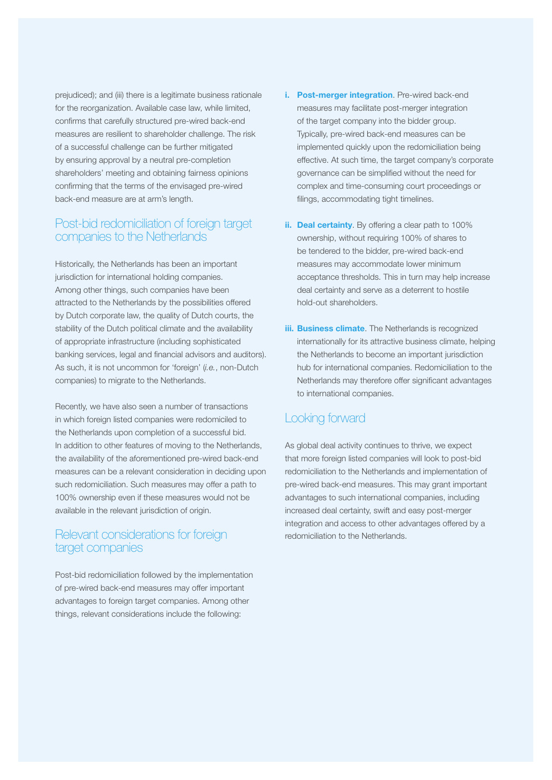prejudiced); and (iii) there is a legitimate business rationale for the reorganization. Available case law, while limited, confirms that carefully structured pre-wired back-end measures are resilient to shareholder challenge. The risk of a successful challenge can be further mitigated by ensuring approval by a neutral pre-completion shareholders' meeting and obtaining fairness opinions confirming that the terms of the envisaged pre-wired back-end measure are at arm's length.

#### Post-bid redomiciliation of foreign target companies to the Netherlands

Historically, the Netherlands has been an important jurisdiction for international holding companies. Among other things, such companies have been attracted to the Netherlands by the possibilities offered by Dutch corporate law, the quality of Dutch courts, the stability of the Dutch political climate and the availability of appropriate infrastructure (including sophisticated banking services, legal and financial advisors and auditors). As such, it is not uncommon for 'foreign' (*i.e.*, non-Dutch companies) to migrate to the Netherlands.

Recently, we have also seen a number of transactions in which foreign listed companies were redomiciled to the Netherlands upon completion of a successful bid. In addition to other features of moving to the Netherlands, the availability of the aforementioned pre-wired back-end measures can be a relevant consideration in deciding upon such redomiciliation. Such measures may offer a path to 100% ownership even if these measures would not be available in the relevant jurisdiction of origin.

#### Relevant considerations for foreign target companies

Post-bid redomiciliation followed by the implementation of pre-wired back-end measures may offer important advantages to foreign target companies. Among other things, relevant considerations include the following:

- i. Post-merger integration. Pre-wired back-end measures may facilitate post-merger integration of the target company into the bidder group. Typically, pre-wired back-end measures can be implemented quickly upon the redomiciliation being effective. At such time, the target company's corporate governance can be simplified without the need for complex and time-consuming court proceedings or filings, accommodating tight timelines.
- ii. Deal certainty. By offering a clear path to 100% ownership, without requiring 100% of shares to be tendered to the bidder, pre-wired back-end measures may accommodate lower minimum acceptance thresholds. This in turn may help increase deal certainty and serve as a deterrent to hostile hold-out shareholders.
- iii. Business climate. The Netherlands is recognized internationally for its attractive business climate, helping the Netherlands to become an important jurisdiction hub for international companies. Redomiciliation to the Netherlands may therefore offer significant advantages to international companies.

### Looking forward

As global deal activity continues to thrive, we expect that more foreign listed companies will look to post-bid redomiciliation to the Netherlands and implementation of pre-wired back-end measures. This may grant important advantages to such international companies, including increased deal certainty, swift and easy post-merger integration and access to other advantages offered by a redomiciliation to the Netherlands.